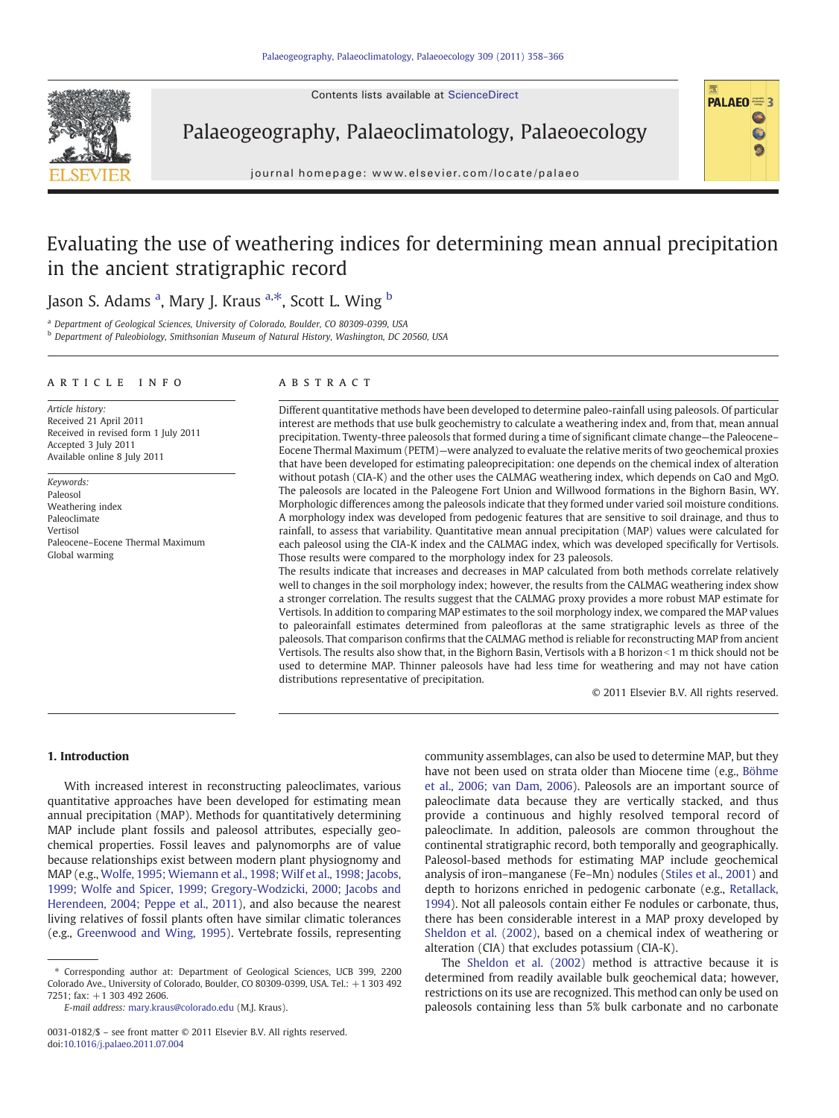Contents lists available at [ScienceDirect](http://www.sciencedirect.com/science/journal/00310182)



Palaeogeography, Palaeoclimatology, Palaeoecology

journal homepage: www.elsevier.com/locate/palaeo

# Evaluating the use of weathering indices for determining mean annual precipitation in the ancient stratigraphic record

# J[a](#page-0-0)son S. Adams <sup>a</sup>, Mary J. Kraus <sup>a,\*</sup>, Scott L. Wing <sup>[b](#page-0-0)</sup>

<sup>a</sup> Department of Geological Sciences, University of Colorado, Boulder, CO 80309-0399, USA

<sup>b</sup> Department of Paleobiology, Smithsonian Museum of Natural History, Washington, DC 20560, USA

## article info abstract

Article history: Received 21 April 2011 Received in revised form 1 July 2011 Accepted 3 July 2011 Available online 8 July 2011

Keywords: Paleosol Weathering index Paleoclimate Vertisol Paleocene–Eocene Thermal Maximum Global warming

Different quantitative methods have been developed to determine paleo-rainfall using paleosols. Of particular interest are methods that use bulk geochemistry to calculate a weathering index and, from that, mean annual precipitation. Twenty-three paleosols that formed during a time of significant climate change—the Paleocene– Eocene Thermal Maximum (PETM)—were analyzed to evaluate the relative merits of two geochemical proxies that have been developed for estimating paleoprecipitation: one depends on the chemical index of alteration without potash (CIA-K) and the other uses the CALMAG weathering index, which depends on CaO and MgO. The paleosols are located in the Paleogene Fort Union and Willwood formations in the Bighorn Basin, WY. Morphologic differences among the paleosols indicate that they formed under varied soil moisture conditions. A morphology index was developed from pedogenic features that are sensitive to soil drainage, and thus to rainfall, to assess that variability. Quantitative mean annual precipitation (MAP) values were calculated for each paleosol using the CIA-K index and the CALMAG index, which was developed specifically for Vertisols. Those results were compared to the morphology index for 23 paleosols.

The results indicate that increases and decreases in MAP calculated from both methods correlate relatively well to changes in the soil morphology index; however, the results from the CALMAG weathering index show a stronger correlation. The results suggest that the CALMAG proxy provides a more robust MAP estimate for Vertisols. In addition to comparing MAP estimates to the soil morphology index, we compared the MAP values to paleorainfall estimates determined from paleofloras at the same stratigraphic levels as three of the paleosols. That comparison confirms that the CALMAG method is reliable for reconstructing MAP from ancient Vertisols. The results also show that, in the Bighorn Basin, Vertisols with a B horizon $<1$  m thick should not be used to determine MAP. Thinner paleosols have had less time for weathering and may not have cation distributions representative of precipitation.

© 2011 Elsevier B.V. All rights reserved.

PALAEO<sup><sup>5</sup></sup>

 $\bullet$ Ġ

# 1. Introduction

With increased interest in reconstructing paleoclimates, various quantitative approaches have been developed for estimating mean annual precipitation (MAP). Methods for quantitatively determining MAP include plant fossils and paleosol attributes, especially geochemical properties. Fossil leaves and palynomorphs are of value because relationships exist between modern plant physiognomy and MAP (e.g., [Wolfe, 1995; Wiemann et al., 1998; Wilf et al., 1998; Jacobs,](#page-8-0) [1999; Wolfe and Spicer, 1999; Gregory-Wodzicki, 2000; Jacobs and](#page-8-0) [Herendeen, 2004; Peppe et al., 2011](#page-8-0)), and also because the nearest living relatives of fossil plants often have similar climatic tolerances (e.g., [Greenwood and Wing, 1995\)](#page-7-0). Vertebrate fossils, representing

E-mail address: [mary.kraus@colorado.edu](mailto:mary.kraus@colorado.edu) (M.J. Kraus).

community assemblages, can also be used to determine MAP, but they have not been used on strata older than Miocene time (e.g., [Böhme](#page-7-0) [et al., 2006; van Dam, 2006\)](#page-7-0). Paleosols are an important source of paleoclimate data because they are vertically stacked, and thus provide a continuous and highly resolved temporal record of paleoclimate. In addition, paleosols are common throughout the continental stratigraphic record, both temporally and geographically. Paleosol-based methods for estimating MAP include geochemical analysis of iron–manganese (Fe–Mn) nodules ([Stiles et al., 2001\)](#page-8-0) and depth to horizons enriched in pedogenic carbonate (e.g., [Retallack,](#page-8-0) [1994\)](#page-8-0). Not all paleosols contain either Fe nodules or carbonate, thus, there has been considerable interest in a MAP proxy developed by [Sheldon et al. \(2002\)](#page-8-0), based on a chemical index of weathering or alteration (CIA) that excludes potassium (CIA-K).

The [Sheldon et al. \(2002\)](#page-8-0) method is attractive because it is determined from readily available bulk geochemical data; however, restrictions on its use are recognized. This method can only be used on paleosols containing less than 5% bulk carbonate and no carbonate

<sup>⁎</sup> Corresponding author at: Department of Geological Sciences, UCB 399, 2200 Colorado Ave., University of Colorado, Boulder, CO 80309-0399, USA. Tel.: +1 303 492 7251; fax: +1 303 492 2606.

<span id="page-0-0"></span><sup>0031-0182/\$</sup> – see front matter © 2011 Elsevier B.V. All rights reserved. doi[:10.1016/j.palaeo.2011.07.004](http://dx.doi.org/10.1016/j.palaeo.2011.07.004)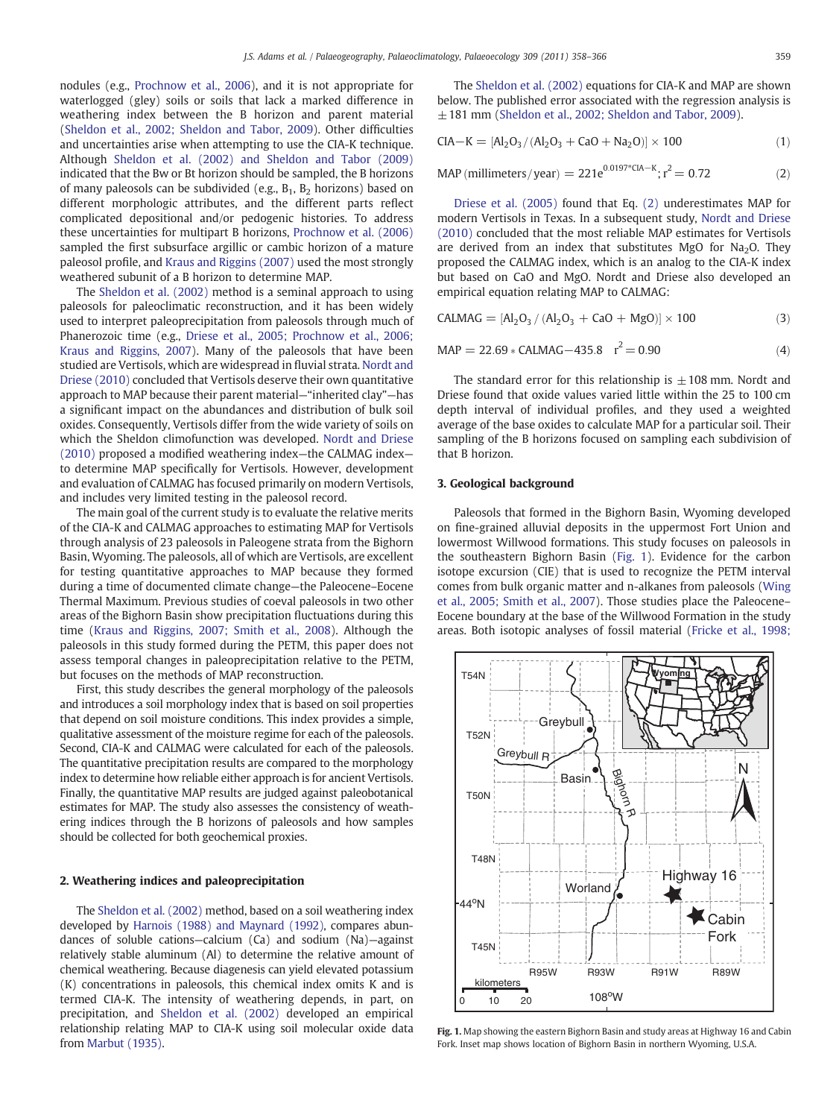nodules (e.g., [Prochnow et al., 2006\)](#page-8-0), and it is not appropriate for waterlogged (gley) soils or soils that lack a marked difference in weathering index between the B horizon and parent material [\(Sheldon et al., 2002; Sheldon and Tabor, 2009](#page-8-0)). Other difficulties and uncertainties arise when attempting to use the CIA-K technique. Although [Sheldon et al. \(2002\) and Sheldon and Tabor \(2009\)](#page-8-0) indicated that the Bw or Bt horizon should be sampled, the B horizons of many paleosols can be subdivided (e.g.,  $B_1$ ,  $B_2$  horizons) based on different morphologic attributes, and the different parts reflect complicated depositional and/or pedogenic histories. To address these uncertainties for multipart B horizons, [Prochnow et al. \(2006\)](#page-8-0) sampled the first subsurface argillic or cambic horizon of a mature paleosol profile, and [Kraus and Riggins \(2007\)](#page-7-0) used the most strongly weathered subunit of a B horizon to determine MAP.

The [Sheldon et al. \(2002\)](#page-8-0) method is a seminal approach to using paleosols for paleoclimatic reconstruction, and it has been widely used to interpret paleoprecipitation from paleosols through much of Phanerozoic time (e.g., [Driese et al., 2005; Prochnow et al., 2006;](#page-7-0) [Kraus and Riggins, 2007\)](#page-7-0). Many of the paleosols that have been studied are Vertisols, which are widespread in fluvial strata. [Nordt and](#page-8-0) [Driese \(2010\)](#page-8-0) concluded that Vertisols deserve their own quantitative approach to MAP because their parent material—"inherited clay"—has a significant impact on the abundances and distribution of bulk soil oxides. Consequently, Vertisols differ from the wide variety of soils on which the Sheldon climofunction was developed. [Nordt and Driese](#page-8-0) [\(2010\)](#page-8-0) proposed a modified weathering index—the CALMAG index to determine MAP specifically for Vertisols. However, development and evaluation of CALMAG has focused primarily on modern Vertisols, and includes very limited testing in the paleosol record.

The main goal of the current study is to evaluate the relative merits of the CIA-K and CALMAG approaches to estimating MAP for Vertisols through analysis of 23 paleosols in Paleogene strata from the Bighorn Basin, Wyoming. The paleosols, all of which are Vertisols, are excellent for testing quantitative approaches to MAP because they formed during a time of documented climate change—the Paleocene–Eocene Thermal Maximum. Previous studies of coeval paleosols in two other areas of the Bighorn Basin show precipitation fluctuations during this time ([Kraus and Riggins, 2007; Smith et al., 2008\)](#page-7-0). Although the paleosols in this study formed during the PETM, this paper does not assess temporal changes in paleoprecipitation relative to the PETM, but focuses on the methods of MAP reconstruction.

First, this study describes the general morphology of the paleosols and introduces a soil morphology index that is based on soil properties that depend on soil moisture conditions. This index provides a simple, qualitative assessment of the moisture regime for each of the paleosols. Second, CIA-K and CALMAG were calculated for each of the paleosols. The quantitative precipitation results are compared to the morphology index to determine how reliable either approach is for ancient Vertisols. Finally, the quantitative MAP results are judged against paleobotanical estimates for MAP. The study also assesses the consistency of weathering indices through the B horizons of paleosols and how samples should be collected for both geochemical proxies.

# 2. Weathering indices and paleoprecipitation

<span id="page-1-0"></span>The [Sheldon et al. \(2002\)](#page-8-0) method, based on a soil weathering index developed by [Harnois \(1988\) and Maynard \(1992\),](#page-7-0) compares abundances of soluble cations—calcium (Ca) and sodium (Na)—against relatively stable aluminum (Al) to determine the relative amount of chemical weathering. Because diagenesis can yield elevated potassium (K) concentrations in paleosols, this chemical index omits K and is termed CIA-K. The intensity of weathering depends, in part, on precipitation, and [Sheldon et al. \(2002\)](#page-8-0) developed an empirical relationship relating MAP to CIA-K using soil molecular oxide data from [Marbut \(1935\)](#page-7-0).

The [Sheldon et al. \(2002\)](#page-8-0) equations for CIA-K and MAP are shown below. The published error associated with the regression analysis is  $\pm$  181 mm ([Sheldon et al., 2002; Sheldon and Tabor, 2009\)](#page-8-0).

$$
CIA - K = [Al_2O_3/(Al_2O_3 + CaO + Na_2O)] \times 100
$$
 (1)

MAP (millimeters/year) = 
$$
221e^{0.0197 \times \text{CIA} - \text{K}}; r^2 = 0.72
$$
 (2)

[Driese et al. \(2005\)](#page-7-0) found that Eq. [\(2\)](#page-1-0) underestimates MAP for modern Vertisols in Texas. In a subsequent study, [Nordt and Driese](#page-8-0) [\(2010\)](#page-8-0) concluded that the most reliable MAP estimates for Vertisols are derived from an index that substitutes MgO for  $Na<sub>2</sub>O$ . They proposed the CALMAG index, which is an analog to the CIA-K index but based on CaO and MgO. Nordt and Driese also developed an empirical equation relating MAP to CALMAG:

$$
CALMAG = [Al_2O_3 / (Al_2O_3 + CaO + MgO)] \times 100
$$
 (3)

$$
MAP = 22.69 * CALMAG - 435.8 \quad r^2 = 0.90 \tag{4}
$$

The standard error for this relationship is  $\pm$  108 mm. Nordt and Driese found that oxide values varied little within the 25 to 100 cm depth interval of individual profiles, and they used a weighted average of the base oxides to calculate MAP for a particular soil. Their sampling of the B horizons focused on sampling each subdivision of that B horizon.

# 3. Geological background

Paleosols that formed in the Bighorn Basin, Wyoming developed on fine-grained alluvial deposits in the uppermost Fort Union and lowermost Willwood formations. This study focuses on paleosols in the southeastern Bighorn Basin [\(Fig. 1](#page-1-0)). Evidence for the carbon isotope excursion (CIE) that is used to recognize the PETM interval comes from bulk organic matter and n-alkanes from paleosols ([Wing](#page-8-0) [et al., 2005; Smith et al., 2007\)](#page-8-0). Those studies place the Paleocene– Eocene boundary at the base of the Willwood Formation in the study areas. Both isotopic analyses of fossil material [\(Fricke et al., 1998;](#page-7-0)



Fig. 1. Map showing the eastern Bighorn Basin and study areas at Highway 16 and Cabin Fork. Inset map shows location of Bighorn Basin in northern Wyoming, U.S.A.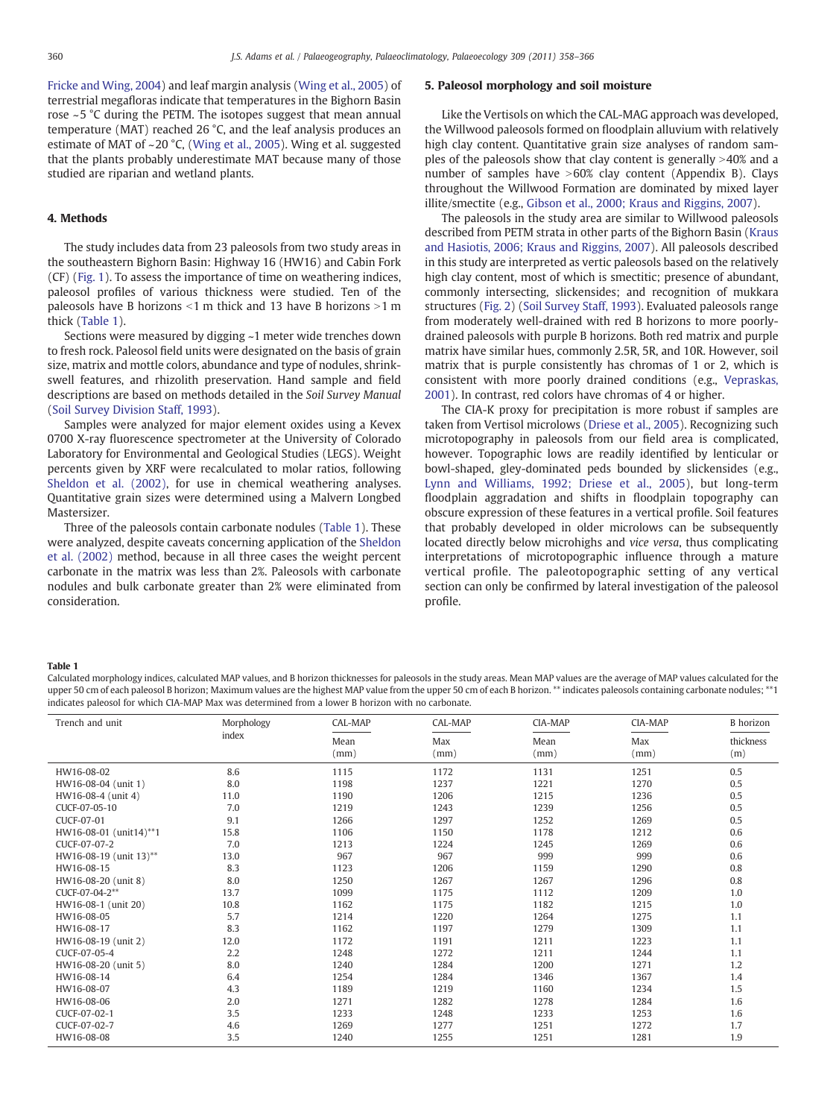[Fricke and Wing, 2004](#page-7-0)) and leaf margin analysis ([Wing et al., 2005](#page-8-0)) of terrestrial megafloras indicate that temperatures in the Bighorn Basin rose ~5 °C during the PETM. The isotopes suggest that mean annual temperature (MAT) reached 26 °C, and the leaf analysis produces an estimate of MAT of ~20 °C, [\(Wing et al., 2005\)](#page-8-0). Wing et al. suggested that the plants probably underestimate MAT because many of those studied are riparian and wetland plants.

## 4. Methods

The study includes data from 23 paleosols from two study areas in the southeastern Bighorn Basin: Highway 16 (HW16) and Cabin Fork (CF) [\(Fig. 1](#page-1-0)). To assess the importance of time on weathering indices, paleosol profiles of various thickness were studied. Ten of the paleosols have B horizons  $\leq$ 1 m thick and 13 have B horizons  $>$ 1 m thick ([Table 1](#page-2-0)).

Sections were measured by digging ~1 meter wide trenches down to fresh rock. Paleosol field units were designated on the basis of grain size, matrix and mottle colors, abundance and type of nodules, shrinkswell features, and rhizolith preservation. Hand sample and field descriptions are based on methods detailed in the Soil Survey Manual [\(Soil Survey Division Staff, 1993\)](#page-8-0).

Samples were analyzed for major element oxides using a Kevex 0700 X-ray fluorescence spectrometer at the University of Colorado Laboratory for Environmental and Geological Studies (LEGS). Weight percents given by XRF were recalculated to molar ratios, following [Sheldon et al. \(2002\)](#page-8-0), for use in chemical weathering analyses. Quantitative grain sizes were determined using a Malvern Longbed Mastersizer.

Three of the paleosols contain carbonate nodules ([Table 1](#page-2-0)). These were analyzed, despite caveats concerning application of the [Sheldon](#page-8-0) [et al. \(2002\)](#page-8-0) method, because in all three cases the weight percent carbonate in the matrix was less than 2%. Paleosols with carbonate nodules and bulk carbonate greater than 2% were eliminated from consideration.

# 5. Paleosol morphology and soil moisture

Like the Vertisols on which the CAL-MAG approach was developed, the Willwood paleosols formed on floodplain alluvium with relatively high clay content. Quantitative grain size analyses of random samples of the paleosols show that clay content is generally  $>40\%$  and a number of samples have  $>60\%$  clay content (Appendix B). Clays throughout the Willwood Formation are dominated by mixed layer illite/smectite (e.g., [Gibson et al., 2000; Kraus and Riggins, 2007\)](#page-7-0).

The paleosols in the study area are similar to Willwood paleosols described from PETM strata in other parts of the Bighorn Basin [\(Kraus](#page-7-0) [and Hasiotis, 2006; Kraus and Riggins, 2007\)](#page-7-0). All paleosols described in this study are interpreted as vertic paleosols based on the relatively high clay content, most of which is smectitic; presence of abundant, commonly intersecting, slickensides; and recognition of mukkara structures ([Fig. 2\)](#page-3-0) ([Soil Survey Staff, 1993\)](#page-8-0). Evaluated paleosols range from moderately well-drained with red B horizons to more poorlydrained paleosols with purple B horizons. Both red matrix and purple matrix have similar hues, commonly 2.5R, 5R, and 10R. However, soil matrix that is purple consistently has chromas of 1 or 2, which is consistent with more poorly drained conditions (e.g., [Vepraskas,](#page-8-0) [2001\)](#page-8-0). In contrast, red colors have chromas of 4 or higher.

The CIA-K proxy for precipitation is more robust if samples are taken from Vertisol microlows ([Driese et al., 2005](#page-7-0)). Recognizing such microtopography in paleosols from our field area is complicated, however. Topographic lows are readily identified by lenticular or bowl-shaped, gley-dominated peds bounded by slickensides (e.g., [Lynn and Williams, 1992; Driese et al., 2005\)](#page-7-0), but long-term floodplain aggradation and shifts in floodplain topography can obscure expression of these features in a vertical profile. Soil features that probably developed in older microlows can be subsequently located directly below microhighs and vice versa, thus complicating interpretations of microtopographic influence through a mature vertical profile. The paleotopographic setting of any vertical section can only be confirmed by lateral investigation of the paleosol profile.

#### Table 1

Calculated morphology indices, calculated MAP values, and B horizon thicknesses for paleosols in the study areas. Mean MAP values are the average of MAP values calculated for the upper 50 cm of each paleosol B horizon; Maximum values are the highest MAP value from the upper 50 cm of each B horizon. \*\* indicates paleosols containing carbonate nodules; \*\*1 indicates paleosol for which CIA-MAP Max was determined from a lower B horizon with no carbonate.

<span id="page-2-0"></span>

| Trench and unit        | Morphology | CAL-MAP      | CAL-MAP     | CIA-MAP      | CIA-MAP     | <b>B</b> horizon |
|------------------------|------------|--------------|-------------|--------------|-------------|------------------|
|                        | index      | Mean<br>(mm) | Max<br>(mm) | Mean<br>(mm) | Max<br>(mm) | thickness<br>(m) |
| HW16-08-02             | 8.6        | 1115         | 1172        | 1131         | 1251        | 0.5              |
| HW16-08-04 (unit 1)    | 8.0        | 1198         | 1237        | 1221         | 1270        | 0.5              |
| HW16-08-4 (unit 4)     | 11.0       | 1190         | 1206        | 1215         | 1236        | 0.5              |
| CUCF-07-05-10          | 7.0        | 1219         | 1243        | 1239         | 1256        | 0.5              |
| CUCF-07-01             | 9.1        | 1266         | 1297        | 1252         | 1269        | 0.5              |
| HW16-08-01 (unit14)**1 | 15.8       | 1106         | 1150        | 1178         | 1212        | 0.6              |
| CUCF-07-07-2           | 7.0        | 1213         | 1224        | 1245         | 1269        | 0.6              |
| HW16-08-19 (unit 13)** | 13.0       | 967          | 967         | 999          | 999         | 0.6              |
| HW16-08-15             | 8.3        | 1123         | 1206        | 1159         | 1290        | 0.8              |
| HW16-08-20 (unit 8)    | 8.0        | 1250         | 1267        | 1267         | 1296        | 0.8              |
| CUCF-07-04-2**         | 13.7       | 1099         | 1175        | 1112         | 1209        | 1.0              |
| HW16-08-1 (unit 20)    | 10.8       | 1162         | 1175        | 1182         | 1215        | 1.0              |
| HW16-08-05             | 5.7        | 1214         | 1220        | 1264         | 1275        | 1.1              |
| HW16-08-17             | 8.3        | 1162         | 1197        | 1279         | 1309        | 1.1              |
| HW16-08-19 (unit 2)    | 12.0       | 1172         | 1191        | 1211         | 1223        | 1.1              |
| CUCF-07-05-4           | 2.2        | 1248         | 1272        | 1211         | 1244        | 1.1              |
| HW16-08-20 (unit 5)    | 8.0        | 1240         | 1284        | 1200         | 1271        | 1.2              |
| HW16-08-14             | 6.4        | 1254         | 1284        | 1346         | 1367        | 1.4              |
| HW16-08-07             | 4.3        | 1189         | 1219        | 1160         | 1234        | 1.5              |
| HW16-08-06             | 2.0        | 1271         | 1282        | 1278         | 1284        | 1.6              |
| CUCF-07-02-1           | 3.5        | 1233         | 1248        | 1233         | 1253        | 1.6              |
| CUCF-07-02-7           | 4.6        | 1269         | 1277        | 1251         | 1272        | 1.7              |
| HW16-08-08             | 3.5        | 1240         | 1255        | 1251         | 1281        | 1.9              |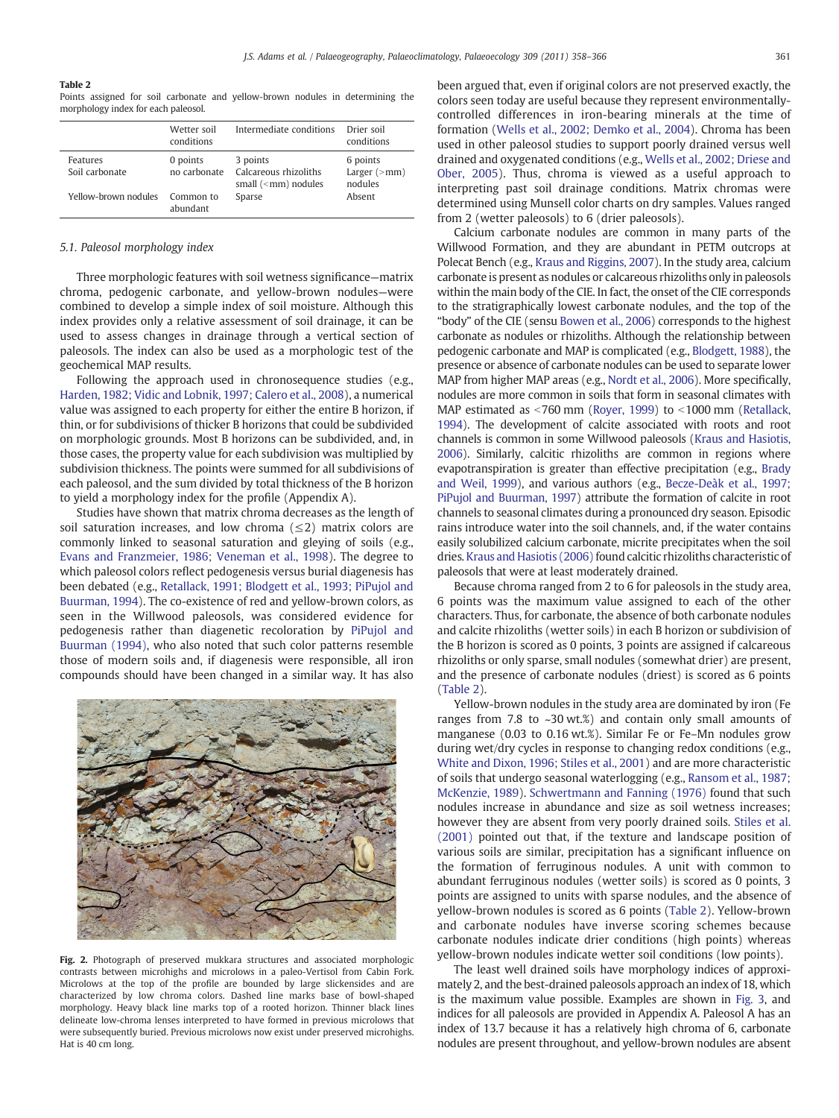#### Table 2

Points assigned for soil carbonate and yellow-brown nodules in determining the morphology index for each paleosol.

|                            | Wetter soil<br>conditions | Intermediate conditions                                        | Drier soil<br>conditions                     |
|----------------------------|---------------------------|----------------------------------------------------------------|----------------------------------------------|
| Features<br>Soil carbonate | 0 points<br>no carbonate  | 3 points<br>Calcareous rhizoliths<br>small $(\leq mn)$ nodules | 6 points<br>Larger $(\geq$ mm $)$<br>nodules |
| Yellow-brown nodules       | Common to<br>abundant     | Sparse                                                         | Absent                                       |

#### 5.1. Paleosol morphology index

Three morphologic features with soil wetness significance—matrix chroma, pedogenic carbonate, and yellow-brown nodules—were combined to develop a simple index of soil moisture. Although this index provides only a relative assessment of soil drainage, it can be used to assess changes in drainage through a vertical section of paleosols. The index can also be used as a morphologic test of the geochemical MAP results.

Following the approach used in chronosequence studies (e.g., [Harden, 1982; Vidic and Lobnik, 1997; Calero et al., 2008](#page-7-0)), a numerical value was assigned to each property for either the entire B horizon, if thin, or for subdivisions of thicker B horizons that could be subdivided on morphologic grounds. Most B horizons can be subdivided, and, in those cases, the property value for each subdivision was multiplied by subdivision thickness. The points were summed for all subdivisions of each paleosol, and the sum divided by total thickness of the B horizon to yield a morphology index for the profile (Appendix A).

Studies have shown that matrix chroma decreases as the length of soil saturation increases, and low chroma  $(\leq 2)$  matrix colors are commonly linked to seasonal saturation and gleying of soils (e.g., [Evans and Franzmeier, 1986; Veneman et al., 1998](#page-7-0)). The degree to which paleosol colors reflect pedogenesis versus burial diagenesis has been debated (e.g., [Retallack, 1991; Blodgett et al., 1993; PiPujol and](#page-8-0) [Buurman, 1994](#page-8-0)). The co-existence of red and yellow-brown colors, as seen in the Willwood paleosols, was considered evidence for pedogenesis rather than diagenetic recoloration by [PiPujol and](#page-8-0) [Buurman \(1994\)](#page-8-0), who also noted that such color patterns resemble those of modern soils and, if diagenesis were responsible, all iron compounds should have been changed in a similar way. It has also

<span id="page-3-0"></span>

Fig. 2. Photograph of preserved mukkara structures and associated morphologic contrasts between microhighs and microlows in a paleo-Vertisol from Cabin Fork. Microlows at the top of the profile are bounded by large slickensides and are characterized by low chroma colors. Dashed line marks base of bowl-shaped morphology. Heavy black line marks top of a rooted horizon. Thinner black lines delineate low-chroma lenses interpreted to have formed in previous microlows that were subsequently buried. Previous microlows now exist under preserved microhighs. Hat is 40 cm long.

been argued that, even if original colors are not preserved exactly, the colors seen today are useful because they represent environmentallycontrolled differences in iron-bearing minerals at the time of formation ([Wells et al., 2002; Demko et al., 2004](#page-8-0)). Chroma has been used in other paleosol studies to support poorly drained versus well drained and oxygenated conditions (e.g., [Wells et al., 2002; Driese and](#page-8-0) [Ober, 2005\)](#page-8-0). Thus, chroma is viewed as a useful approach to interpreting past soil drainage conditions. Matrix chromas were determined using Munsell color charts on dry samples. Values ranged from 2 (wetter paleosols) to 6 (drier paleosols).

Calcium carbonate nodules are common in many parts of the Willwood Formation, and they are abundant in PETM outcrops at Polecat Bench (e.g., [Kraus and Riggins, 2007](#page-7-0)). In the study area, calcium carbonate is present as nodules or calcareous rhizoliths only in paleosols within the main body of the CIE. In fact, the onset of the CIE corresponds to the stratigraphically lowest carbonate nodules, and the top of the "body" of the CIE (sensu [Bowen et al., 2006](#page-7-0)) corresponds to the highest carbonate as nodules or rhizoliths. Although the relationship between pedogenic carbonate and MAP is complicated (e.g., [Blodgett, 1988\)](#page-7-0), the presence or absence of carbonate nodules can be used to separate lower MAP from higher MAP areas (e.g., [Nordt et al., 2006\)](#page-8-0). More specifically, nodules are more common in soils that form in seasonal climates with MAP estimated as  $\leq$ 760 mm [\(Royer, 1999\)](#page-8-0) to  $\leq$ 1000 mm ([Retallack,](#page-8-0) [1994](#page-8-0)). The development of calcite associated with roots and root channels is common in some Willwood paleosols [\(Kraus and Hasiotis,](#page-7-0) [2006](#page-7-0)). Similarly, calcitic rhizoliths are common in regions where evapotranspiration is greater than effective precipitation (e.g., [Brady](#page-7-0) [and Weil, 1999](#page-7-0)), and various authors (e.g., [Becze-Deàk et al., 1997;](#page-7-0) [PiPujol and Buurman, 1997](#page-7-0)) attribute the formation of calcite in root channels to seasonal climates during a pronounced dry season. Episodic rains introduce water into the soil channels, and, if the water contains easily solubilized calcium carbonate, micrite precipitates when the soil dries. [Kraus and Hasiotis \(2006\)](#page-7-0) found calcitic rhizoliths characteristic of paleosols that were at least moderately drained.

Because chroma ranged from 2 to 6 for paleosols in the study area, 6 points was the maximum value assigned to each of the other characters. Thus, for carbonate, the absence of both carbonate nodules and calcite rhizoliths (wetter soils) in each B horizon or subdivision of the B horizon is scored as 0 points, 3 points are assigned if calcareous rhizoliths or only sparse, small nodules (somewhat drier) are present, and the presence of carbonate nodules (driest) is scored as 6 points [\(Table 2](#page-3-0)).

Yellow-brown nodules in the study area are dominated by iron (Fe ranges from 7.8 to ~30 wt.%) and contain only small amounts of manganese (0.03 to 0.16 wt.%). Similar Fe or Fe–Mn nodules grow during wet/dry cycles in response to changing redox conditions (e.g., [White and Dixon, 1996; Stiles et al., 2001](#page-8-0)) and are more characteristic of soils that undergo seasonal waterlogging (e.g., [Ransom et al., 1987;](#page-8-0) [McKenzie, 1989](#page-8-0)). [Schwertmann and Fanning \(1976\)](#page-8-0) found that such nodules increase in abundance and size as soil wetness increases; however they are absent from very poorly drained soils. [Stiles et al.](#page-8-0) [\(2001\)](#page-8-0) pointed out that, if the texture and landscape position of various soils are similar, precipitation has a significant influence on the formation of ferruginous nodules. A unit with common to abundant ferruginous nodules (wetter soils) is scored as 0 points, 3 points are assigned to units with sparse nodules, and the absence of yellow-brown nodules is scored as 6 points [\(Table 2\)](#page-3-0). Yellow-brown and carbonate nodules have inverse scoring schemes because carbonate nodules indicate drier conditions (high points) whereas yellow-brown nodules indicate wetter soil conditions (low points).

The least well drained soils have morphology indices of approximately 2, and the best-drained paleosols approach an index of 18, which is the maximum value possible. Examples are shown in [Fig. 3,](#page-4-0) and indices for all paleosols are provided in Appendix A. Paleosol A has an index of 13.7 because it has a relatively high chroma of 6, carbonate nodules are present throughout, and yellow-brown nodules are absent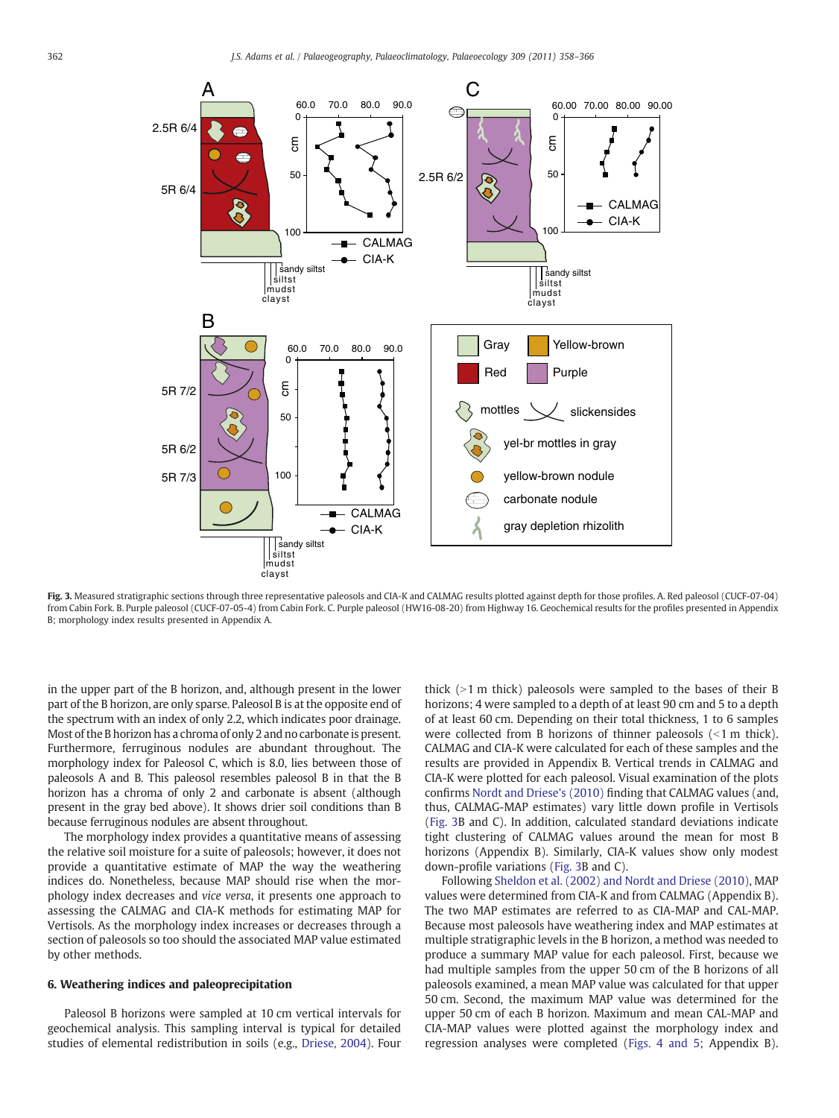

Fig. 3. Measured stratigraphic sections through three representative paleosols and CIA-K and CALMAG results plotted against depth for those profiles. A. Red paleosol (CUCF-07-04) from Cabin Fork. B. Purple paleosol (CUCF-07-05-4) from Cabin Fork. C. Purple paleosol (HW16-08-20) from Highway 16. Geochemical results for the profiles presented in Appendix B; morphology index results presented in Appendix A.

in the upper part of the B horizon, and, although present in the lower part of the B horizon, are only sparse. Paleosol B is at the opposite end of the spectrum with an index of only 2.2, which indicates poor drainage. Most of the B horizon has a chroma of only 2 and no carbonate is present. Furthermore, ferruginous nodules are abundant throughout. The morphology index for Paleosol C, which is 8.0, lies between those of paleosols A and B. This paleosol resembles paleosol B in that the B horizon has a chroma of only 2 and carbonate is absent (although present in the gray bed above). It shows drier soil conditions than B because ferruginous nodules are absent throughout.

The morphology index provides a quantitative means of assessing the relative soil moisture for a suite of paleosols; however, it does not provide a quantitative estimate of MAP the way the weathering indices do. Nonetheless, because MAP should rise when the morphology index decreases and vice versa, it presents one approach to assessing the CALMAG and CIA-K methods for estimating MAP for Vertisols. As the morphology index increases or decreases through a section of paleosols so too should the associated MAP value estimated by other methods.

# 6. Weathering indices and paleoprecipitation

<span id="page-4-0"></span>Paleosol B horizons were sampled at 10 cm vertical intervals for geochemical analysis. This sampling interval is typical for detailed studies of elemental redistribution in soils (e.g., [Driese, 2004](#page-7-0)). Four thick  $(>1$  m thick) paleosols were sampled to the bases of their B horizons; 4 were sampled to a depth of at least 90 cm and 5 to a depth of at least 60 cm. Depending on their total thickness, 1 to 6 samples were collected from B horizons of thinner paleosols  $\leq 1$  m thick). CALMAG and CIA-K were calculated for each of these samples and the results are provided in Appendix B. Vertical trends in CALMAG and CIA-K were plotted for each paleosol. Visual examination of the plots confirms [Nordt and Driese's \(2010\)](#page-8-0) finding that CALMAG values (and, thus, CALMAG-MAP estimates) vary little down profile in Vertisols [\(Fig. 3](#page-4-0)B and C). In addition, calculated standard deviations indicate tight clustering of CALMAG values around the mean for most B horizons (Appendix B). Similarly, CIA-K values show only modest down-profile variations ([Fig. 3](#page-4-0)B and C).

Following [Sheldon et al. \(2002\) and Nordt and Driese \(2010\)](#page-8-0), MAP values were determined from CIA-K and from CALMAG (Appendix B). The two MAP estimates are referred to as CIA-MAP and CAL-MAP. Because most paleosols have weathering index and MAP estimates at multiple stratigraphic levels in the B horizon, a method was needed to produce a summary MAP value for each paleosol. First, because we had multiple samples from the upper 50 cm of the B horizons of all paleosols examined, a mean MAP value was calculated for that upper 50 cm. Second, the maximum MAP value was determined for the upper 50 cm of each B horizon. Maximum and mean CAL-MAP and CIA-MAP values were plotted against the morphology index and regression analyses were completed [\(Figs. 4 and 5;](#page-5-0) Appendix B).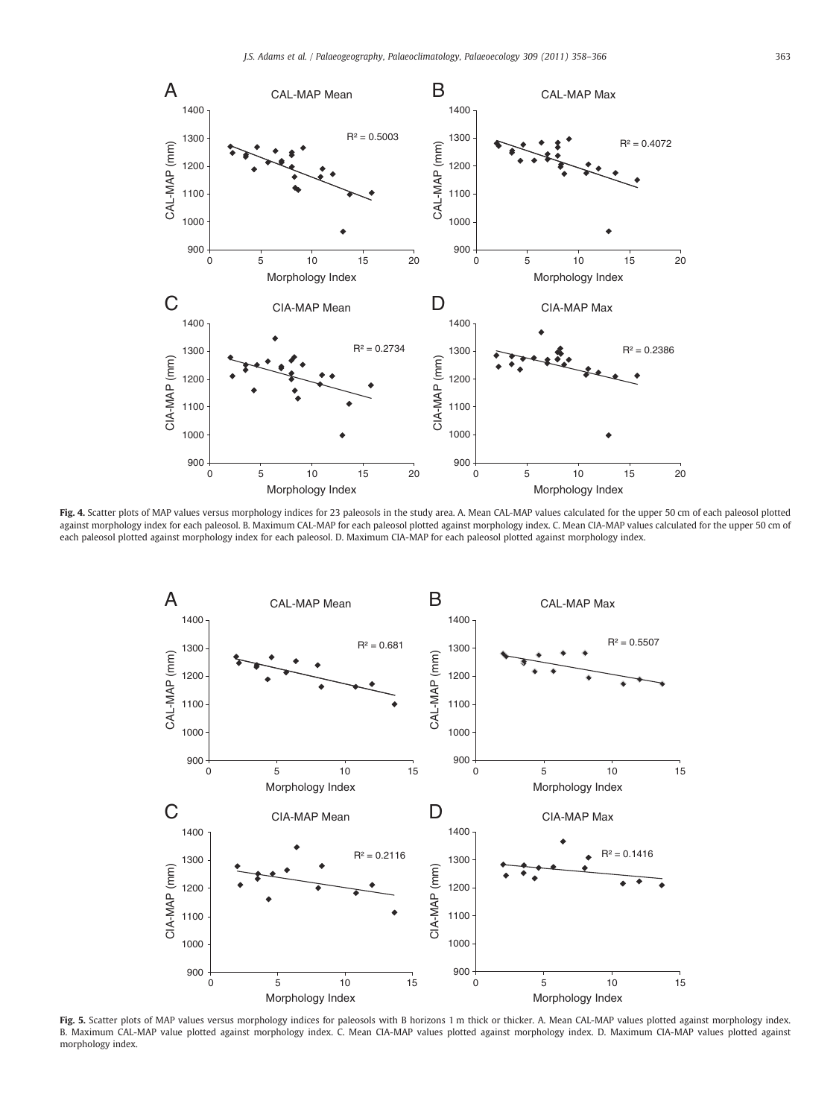

Fig. 4. Scatter plots of MAP values versus morphology indices for 23 paleosols in the study area. A. Mean CAL-MAP values calculated for the upper 50 cm of each paleosol plotted against morphology index for each paleosol. B. Maximum CAL-MAP for each paleosol plotted against morphology index. C. Mean CIA-MAP values calculated for the upper 50 cm of each paleosol plotted against morphology index for each paleosol. D. Maximum CIA-MAP for each paleosol plotted against morphology index.



<span id="page-5-0"></span>Fig. 5. Scatter plots of MAP values versus morphology indices for paleosols with B horizons 1 m thick or thicker. A. Mean CAL-MAP values plotted against morphology index. B. Maximum CAL-MAP value plotted against morphology index. C. Mean CIA-MAP values plotted against morphology index. D. Maximum CIA-MAP values plotted against morphology index.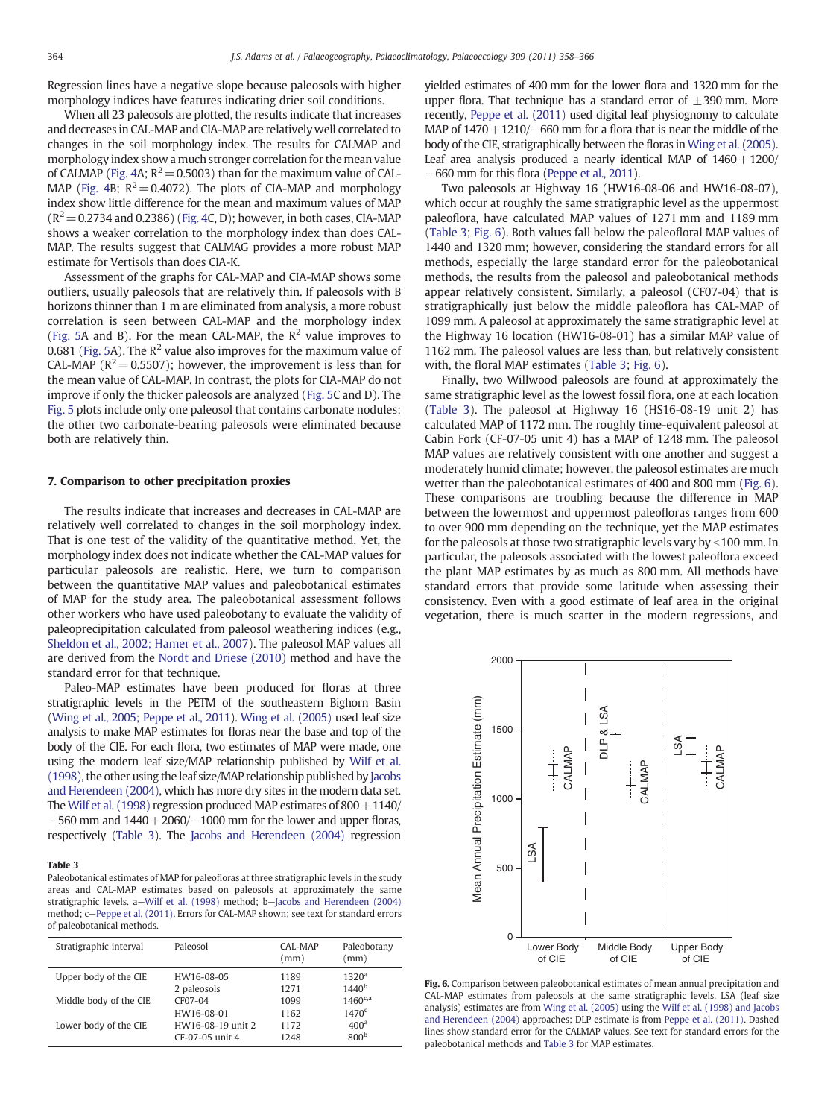Regression lines have a negative slope because paleosols with higher morphology indices have features indicating drier soil conditions.

When all 23 paleosols are plotted, the results indicate that increases and decreases in CAL-MAP and CIA-MAP are relatively well correlated to changes in the soil morphology index. The results for CALMAP and morphology index show a much stronger correlation for the mean value of CALMAP ([Fig. 4](#page-5-0)A;  $R^2$  = 0.5003) than for the maximum value of CAL-MAP ([Fig. 4B](#page-5-0);  $R^2 = 0.4072$ ). The plots of CIA-MAP and morphology index show little difference for the mean and maximum values of MAP  $(R^2=0.2734$  and 0.2386) [\(Fig. 4](#page-5-0)C, D); however, in both cases, CIA-MAP shows a weaker correlation to the morphology index than does CAL-MAP. The results suggest that CALMAG provides a more robust MAP estimate for Vertisols than does CIA-K.

Assessment of the graphs for CAL-MAP and CIA-MAP shows some outliers, usually paleosols that are relatively thin. If paleosols with B horizons thinner than 1 m are eliminated from analysis, a more robust correlation is seen between CAL-MAP and the morphology index [\(Fig. 5A](#page-5-0) and B). For the mean CAL-MAP, the  $R^2$  value improves to 0.681 [\(Fig. 5](#page-5-0)A). The  $R^2$  value also improves for the maximum value of CAL-MAP ( $R^2$  = 0.5507); however, the improvement is less than for the mean value of CAL-MAP. In contrast, the plots for CIA-MAP do not improve if only the thicker paleosols are analyzed ([Fig. 5C](#page-5-0) and D). The [Fig. 5](#page-5-0) plots include only one paleosol that contains carbonate nodules; the other two carbonate-bearing paleosols were eliminated because both are relatively thin.

# 7. Comparison to other precipitation proxies

The results indicate that increases and decreases in CAL-MAP are relatively well correlated to changes in the soil morphology index. That is one test of the validity of the quantitative method. Yet, the morphology index does not indicate whether the CAL-MAP values for particular paleosols are realistic. Here, we turn to comparison between the quantitative MAP values and paleobotanical estimates of MAP for the study area. The paleobotanical assessment follows other workers who have used paleobotany to evaluate the validity of paleoprecipitation calculated from paleosol weathering indices (e.g., [Sheldon et al., 2002; Hamer et al., 2007](#page-8-0)). The paleosol MAP values all are derived from the [Nordt and Driese \(2010\)](#page-8-0) method and have the standard error for that technique.

Paleo-MAP estimates have been produced for floras at three stratigraphic levels in the PETM of the southeastern Bighorn Basin [\(Wing et al., 2005; Peppe et al., 2011\)](#page-8-0). [Wing et al. \(2005\)](#page-8-0) used leaf size analysis to make MAP estimates for floras near the base and top of the body of the CIE. For each flora, two estimates of MAP were made, one using the modern leaf size/MAP relationship published by [Wilf et al.](#page-8-0) [\(1998\),](#page-8-0) the other using the leaf size/MAP relationship published by [Jacobs](#page-7-0) [and Herendeen \(2004\),](#page-7-0) which has more dry sites in the modern data set. The [Wilf et al. \(1998\)](#page-8-0) regression produced MAP estimates of  $800 + 1140/$  $-560$  mm and  $1440 + 2060/$  $-1000$  mm for the lower and upper floras, respectively ([Table 3\)](#page-6-0). The [Jacobs and Herendeen \(2004\)](#page-7-0) regression

# Table 3

Paleobotanical estimates of MAP for paleofloras at three stratigraphic levels in the study areas and CAL-MAP estimates based on paleosols at approximately the same stratigraphic levels. a—[Wilf et al. \(1998\)](#page-8-0) method; b—[Jacobs and Herendeen \(2004\)](#page-7-0) method; c—[Peppe et al. \(2011\)](#page-8-0). Errors for CAL-MAP shown; see text for standard errors of paleobotanical methods.

<span id="page-6-0"></span>

| Stratigraphic interval | Paleosol          | CAL-MAP<br>(mm) | Paleobotany<br>(mm) |
|------------------------|-------------------|-----------------|---------------------|
| Upper body of the CIE  | HW16-08-05        | 1189            | 1320 <sup>a</sup>   |
|                        | 2 paleosols       | 1271            | $1440^{b}$          |
| Middle body of the CIE | CF07-04           | 1099            | $1460^{c,a}$        |
|                        | HW16-08-01        | 1162            | 1470 <sup>c</sup>   |
| Lower body of the CIE  | HW16-08-19 unit 2 | 1172            | 400 <sup>a</sup>    |
|                        | CF-07-05 unit 4   | 1248            | 800 <sup>b</sup>    |

yielded estimates of 400 mm for the lower flora and 1320 mm for the upper flora. That technique has a standard error of  $\pm 390$  mm. More recently, [Peppe et al. \(2011\)](#page-8-0) used digital leaf physiognomy to calculate MAP of  $1470+1210$ / $-660$  mm for a flora that is near the middle of the body of the CIE, stratigraphically between the floras in [Wing et al. \(2005\).](#page-8-0) Leaf area analysis produced a nearly identical MAP of  $1460 + 1200/$ −660 mm for this flora ([Peppe et al., 2011\)](#page-8-0).

Two paleosols at Highway 16 (HW16-08-06 and HW16-08-07), which occur at roughly the same stratigraphic level as the uppermost paleoflora, have calculated MAP values of 1271 mm and 1189 mm [\(Table 3;](#page-6-0) [Fig. 6\)](#page-6-0). Both values fall below the paleofloral MAP values of 1440 and 1320 mm; however, considering the standard errors for all methods, especially the large standard error for the paleobotanical methods, the results from the paleosol and paleobotanical methods appear relatively consistent. Similarly, a paleosol (CF07-04) that is stratigraphically just below the middle paleoflora has CAL-MAP of 1099 mm. A paleosol at approximately the same stratigraphic level at the Highway 16 location (HW16-08-01) has a similar MAP value of 1162 mm. The paleosol values are less than, but relatively consistent with, the floral MAP estimates [\(Table 3;](#page-6-0) [Fig. 6](#page-6-0)).

Finally, two Willwood paleosols are found at approximately the same stratigraphic level as the lowest fossil flora, one at each location [\(Table 3\)](#page-6-0). The paleosol at Highway 16 (HS16-08-19 unit 2) has calculated MAP of 1172 mm. The roughly time-equivalent paleosol at Cabin Fork (CF-07-05 unit 4) has a MAP of 1248 mm. The paleosol MAP values are relatively consistent with one another and suggest a moderately humid climate; however, the paleosol estimates are much wetter than the paleobotanical estimates of 400 and 800 mm [\(Fig. 6](#page-6-0)). These comparisons are troubling because the difference in MAP between the lowermost and uppermost paleofloras ranges from 600 to over 900 mm depending on the technique, yet the MAP estimates for the paleosols at those two stratigraphic levels vary by  $\leq$  100 mm. In particular, the paleosols associated with the lowest paleoflora exceed the plant MAP estimates by as much as 800 mm. All methods have standard errors that provide some latitude when assessing their consistency. Even with a good estimate of leaf area in the original vegetation, there is much scatter in the modern regressions, and



Fig. 6. Comparison between paleobotanical estimates of mean annual precipitation and CAL-MAP estimates from paleosols at the same stratigraphic levels. LSA (leaf size analysis) estimates are from [Wing et al. \(2005\)](#page-8-0) using the [Wilf et al. \(1998\) and Jacobs](#page-8-0) [and Herendeen \(2004\)](#page-8-0) approaches; DLP estimate is from [Peppe et al. \(2011\)](#page-8-0). Dashed lines show standard error for the CALMAP values. See text for standard errors for the paleobotanical methods and [Table 3](#page-6-0) for MAP estimates.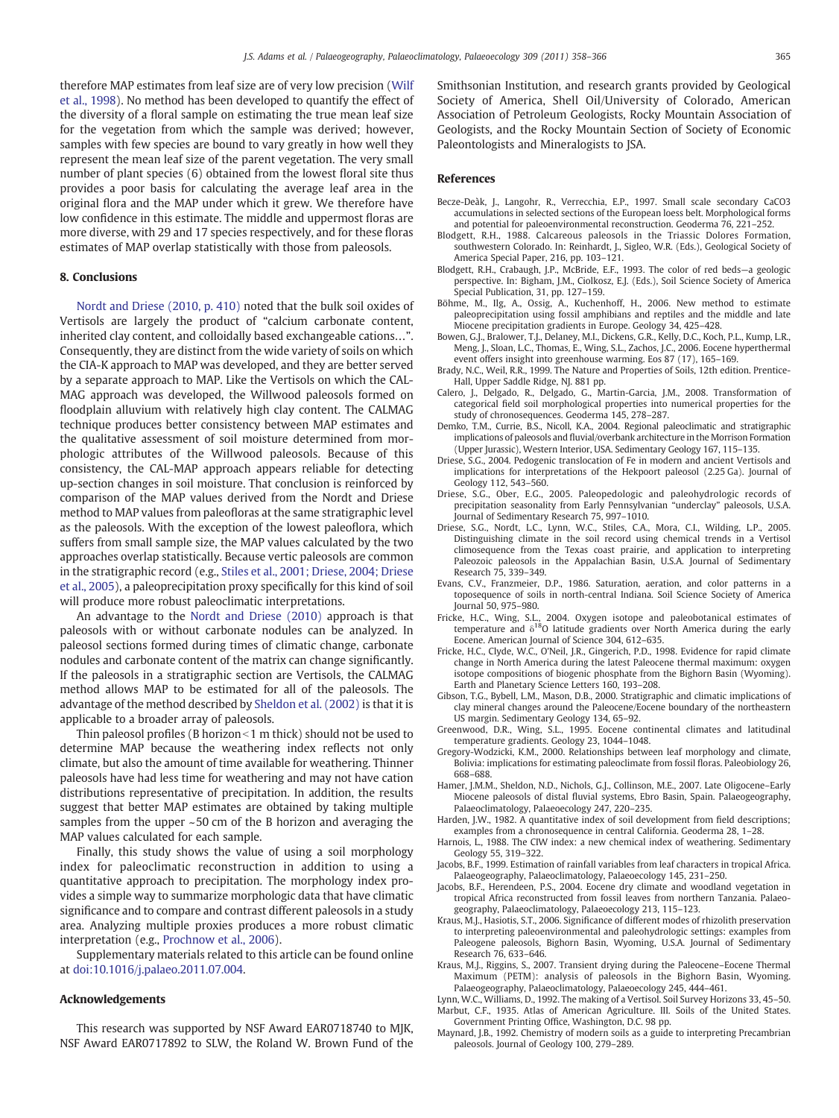therefore MAP estimates from leaf size are of very low precision [\(Wilf](#page-8-0) [et al., 1998](#page-8-0)). No method has been developed to quantify the effect of the diversity of a floral sample on estimating the true mean leaf size for the vegetation from which the sample was derived; however, samples with few species are bound to vary greatly in how well they represent the mean leaf size of the parent vegetation. The very small number of plant species (6) obtained from the lowest floral site thus provides a poor basis for calculating the average leaf area in the original flora and the MAP under which it grew. We therefore have low confidence in this estimate. The middle and uppermost floras are more diverse, with 29 and 17 species respectively, and for these floras estimates of MAP overlap statistically with those from paleosols.

# 8. Conclusions

[Nordt and Driese \(2010, p. 410\)](#page-8-0) noted that the bulk soil oxides of Vertisols are largely the product of "calcium carbonate content, inherited clay content, and colloidally based exchangeable cations…". Consequently, they are distinct from the wide variety of soils on which the CIA-K approach to MAP was developed, and they are better served by a separate approach to MAP. Like the Vertisols on which the CAL-MAG approach was developed, the Willwood paleosols formed on floodplain alluvium with relatively high clay content. The CALMAG technique produces better consistency between MAP estimates and the qualitative assessment of soil moisture determined from morphologic attributes of the Willwood paleosols. Because of this consistency, the CAL-MAP approach appears reliable for detecting up-section changes in soil moisture. That conclusion is reinforced by comparison of the MAP values derived from the Nordt and Driese method to MAP values from paleofloras at the same stratigraphic level as the paleosols. With the exception of the lowest paleoflora, which suffers from small sample size, the MAP values calculated by the two approaches overlap statistically. Because vertic paleosols are common in the stratigraphic record (e.g., [Stiles et al., 2001; Driese, 2004; Driese](#page-8-0) [et al., 2005](#page-8-0)), a paleoprecipitation proxy specifically for this kind of soil will produce more robust paleoclimatic interpretations.

An advantage to the [Nordt and Driese \(2010\)](#page-8-0) approach is that paleosols with or without carbonate nodules can be analyzed. In paleosol sections formed during times of climatic change, carbonate nodules and carbonate content of the matrix can change significantly. If the paleosols in a stratigraphic section are Vertisols, the CALMAG method allows MAP to be estimated for all of the paleosols. The advantage of the method described by [Sheldon et al. \(2002\)](#page-8-0) is that it is applicable to a broader array of paleosols.

Thin paleosol profiles (B horizon  $\leq$  1 m thick) should not be used to determine MAP because the weathering index reflects not only climate, but also the amount of time available for weathering. Thinner paleosols have had less time for weathering and may not have cation distributions representative of precipitation. In addition, the results suggest that better MAP estimates are obtained by taking multiple samples from the upper ~50 cm of the B horizon and averaging the MAP values calculated for each sample.

Finally, this study shows the value of using a soil morphology index for paleoclimatic reconstruction in addition to using a quantitative approach to precipitation. The morphology index provides a simple way to summarize morphologic data that have climatic significance and to compare and contrast different paleosols in a study area. Analyzing multiple proxies produces a more robust climatic interpretation (e.g., [Prochnow et al., 2006\)](#page-8-0).

Supplementary materials related to this article can be found online at doi:10.1016/j.palaeo.2011.07.004.

# Acknowledgements

<span id="page-7-0"></span>This research was supported by NSF Award EAR0718740 to MJK, NSF Award EAR0717892 to SLW, the Roland W. Brown Fund of the Smithsonian Institution, and research grants provided by Geological Society of America, Shell Oil/University of Colorado, American Association of Petroleum Geologists, Rocky Mountain Association of Geologists, and the Rocky Mountain Section of Society of Economic Paleontologists and Mineralogists to JSA.

### References

- Becze-Deàk, J., Langohr, R., Verrecchia, E.P., 1997. Small scale secondary CaCO3 accumulations in selected sections of the European loess belt. Morphological forms and potential for paleoenvironmental reconstruction. Geoderma 76, 221–252.
- Blodgett, R.H., 1988. Calcareous paleosols in the Triassic Dolores Formation, southwestern Colorado. In: Reinhardt, J., Sigleo, W.R. (Eds.), Geological Society of America Special Paper, 216, pp. 103–121.
- Blodgett, R.H., Crabaugh, J.P., McBride, E.F., 1993. The color of red beds—a geologic perspective. In: Bigham, J.M., Ciolkosz, E.J. (Eds.), Soil Science Society of America Special Publication, 31, pp. 127–159.
- Böhme, M., Ilg, A., Ossig, A., Kuchenhoff, H., 2006. New method to estimate paleoprecipitation using fossil amphibians and reptiles and the middle and late Miocene precipitation gradients in Europe. Geology 34, 425–428.
- Bowen, G.J., Bralower, T.J., Delaney, M.I., Dickens, G.R., Kelly, D.C., Koch, P.L., Kump, L.R., Meng, J., Sloan, L.C., Thomas, E., Wing, S.L., Zachos, J.C., 2006. Eocene hyperthermal event offers insight into greenhouse warming. Eos 87 (17), 165–169.
- Brady, N.C., Weil, R.R., 1999. The Nature and Properties of Soils, 12th edition. Prentice-Hall, Upper Saddle Ridge, NJ. 881 pp.
- Calero, J., Delgado, R., Delgado, G., Martin-Garcia, J.M., 2008. Transformation of categorical field soil morphological properties into numerical properties for the study of chronosequences. Geoderma 145, 278–287.
- Demko, T.M., Currie, B.S., Nicoll, K.A., 2004. Regional paleoclimatic and stratigraphic implications of paleosols and fluvial/overbank architecture in the Morrison Formation (Upper Jurassic), Western Interior, USA. Sedimentary Geology 167, 115–135.
- Driese, S.G., 2004. Pedogenic translocation of Fe in modern and ancient Vertisols and implications for interpretations of the Hekpoort paleosol (2.25 Ga). Journal of Geology 112, 543–560.
- Driese, S.G., Ober, E.G., 2005. Paleopedologic and paleohydrologic records of precipitation seasonality from Early Pennsylvanian "underclay" paleosols, U.S.A. Journal of Sedimentary Research 75, 997–1010.
- Driese, S.G., Nordt, L.C., Lynn, W.C., Stiles, C.A., Mora, C.I., Wilding, L.P., 2005. Distinguishing climate in the soil record using chemical trends in a Vertisol climosequence from the Texas coast prairie, and application to interpreting Paleozoic paleosols in the Appalachian Basin, U.S.A. Journal of Sedimentary Research 75, 339–349.
- Evans, C.V., Franzmeier, D.P., 1986. Saturation, aeration, and color patterns in a toposequence of soils in north-central Indiana. Soil Science Society of America Journal 50, 975–980.
- Fricke, H.C., Wing, S.L., 2004. Oxygen isotope and paleobotanical estimates of temperature and  $\delta^{18}O$  latitude gradients over North America during the early Eocene. American Journal of Science 304, 612–635.
- Fricke, H.C., Clyde, W.C., O'Neil, J.R., Gingerich, P.D., 1998. Evidence for rapid climate change in North America during the latest Paleocene thermal maximum: oxygen isotope compositions of biogenic phosphate from the Bighorn Basin (Wyoming). Earth and Planetary Science Letters 160, 193–208.
- Gibson, T.G., Bybell, L.M., Mason, D.B., 2000. Stratigraphic and climatic implications of clay mineral changes around the Paleocene/Eocene boundary of the northeastern US margin. Sedimentary Geology 134, 65–92.
- Greenwood, D.R., Wing, S.L., 1995. Eocene continental climates and latitudinal temperature gradients. Geology 23, 1044–1048.
- Gregory-Wodzicki, K.M., 2000. Relationships between leaf morphology and climate, Bolivia: implications for estimating paleoclimate from fossil floras. Paleobiology 26, 668–688.
- Hamer, J.M.M., Sheldon, N.D., Nichols, G.J., Collinson, M.E., 2007. Late Oligocene–Early Miocene paleosols of distal fluvial systems, Ebro Basin, Spain. Palaeogeography, Palaeoclimatology, Palaeoecology 247, 220–235.
- Harden, J.W., 1982. A quantitative index of soil development from field descriptions; examples from a chronosequence in central California. Geoderma 28, 1–28.
- Harnois, L., 1988. The CIW index: a new chemical index of weathering. Sedimentary Geology 55, 319–322.
- Jacobs, B.F., 1999. Estimation of rainfall variables from leaf characters in tropical Africa. Palaeogeography, Palaeoclimatology, Palaeoecology 145, 231–250.
- Jacobs, B.F., Herendeen, P.S., 2004. Eocene dry climate and woodland vegetation in tropical Africa reconstructed from fossil leaves from northern Tanzania. Palaeogeography, Palaeoclimatology, Palaeoecology 213, 115–123.
- Kraus, M.J., Hasiotis, S.T., 2006. Significance of different modes of rhizolith preservation to interpreting paleoenvironmental and paleohydrologic settings: examples from Paleogene paleosols, Bighorn Basin, Wyoming, U.S.A. Journal of Sedimentary Research 76, 633–646.
- Kraus, M.J., Riggins, S., 2007. Transient drying during the Paleocene–Eocene Thermal Maximum (PETM): analysis of paleosols in the Bighorn Basin, Wyoming. Palaeogeography, Palaeoclimatology, Palaeoecology 245, 444–461.
- Lynn, W.C., Williams, D., 1992. The making of a Vertisol. Soil Survey Horizons 33, 45–50. Marbut, C.F., 1935. Atlas of American Agriculture. III. Soils of the United States. Government Printing Office, Washington, D.C. 98 pp.
- Maynard, J.B., 1992. Chemistry of modern soils as a guide to interpreting Precambrian paleosols. Journal of Geology 100, 279–289.